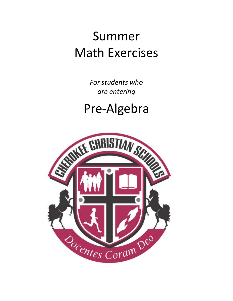## Summer Math Exercises

*For students who are entering*

## Pre-Algebra

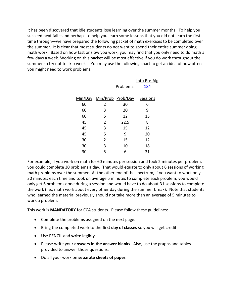It has been discovered that idle students lose learning over the summer months. To help you succeed next fall—and perhaps to help you learn some lessons that you did not learn the first time through—we have prepared the following packet of math exercises to be completed over the summer. It is clear that most students do not want to spend their entire summer doing math work. Based on how fast or slow you work, you may find that you only need to do math a few days a week. Working on this packet will be most effective if you do work throughout the summer so try not to skip weeks. You may use the following chart to get an idea of how often you might need to work problems:

|    |                           |           | Into Pre-Alg |
|----|---------------------------|-----------|--------------|
|    |                           | Problems: | 184          |
|    |                           |           |              |
|    | Min/Day Min/Prob Prob/Day |           | Sessions     |
| 60 | 2                         | 30        | 6            |
| 60 | 3                         | 20        | 9            |
| 60 | 5                         | 12        | 15           |
| 45 | 2                         | 22.5      | 8            |
| 45 | 3                         | 15        | 12           |
| 45 | 5                         | 9         | 20           |
| 30 | $\overline{2}$            | 15        | 12           |
| 30 | 3                         | 10        | 18           |
| 30 | 5                         | 6         | 31           |
|    |                           |           |              |

For example, if you work on math for 60 minutes per session and took 2 minutes per problem, you could complete 30 problems a day. That would equate to only about 6 sessions of working math problems over the summer. At the other end of the spectrum, if you want to work only 30 minutes each time and took on average 5 minutes to complete each problem, you would only get 6 problems done during a session and would have to do about 31 sessions to complete the work (i.e., math work about every other day during the summer break). Note that students who learned the material previously should not take more than an average of 5 minutes to work a problem.

This work is **MANDATORY** for CCA students. Please follow these guidelines:

- Complete the problems assigned on the next page.
- Bring the completed work to the **first day of classes** so you will get credit.
- Use PENCIL and **write legibly**.
- Please write your **answers in the answer blanks**. Also, use the graphs and tables provided to answer those questions.
- Do all your work on **separate sheets of paper**.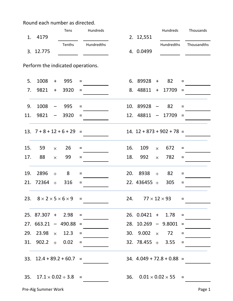Round each number as directed.

| 1.  | 4179                                          |                          | Tens   |     | Hundreds   |     | 2. 12,551           |               | Hundreds                           |          | Thousands   |
|-----|-----------------------------------------------|--------------------------|--------|-----|------------|-----|---------------------|---------------|------------------------------------|----------|-------------|
|     |                                               |                          | Tenths |     | Hundredths |     |                     |               | Hundredths                         |          | Thousandths |
|     | 3. 12.775                                     |                          |        |     |            |     | 4. 0.0499           |               |                                    |          |             |
|     | Perform the indicated operations.             |                          |        |     |            |     |                     |               |                                    |          |             |
| 5.  | 1008                                          | $+$                      | 995    | $=$ |            |     | 6. $89928 +$        |               | 82                                 | $\equiv$ |             |
|     | 7. $9821 +$                                   |                          | 3920   | $=$ |            |     |                     |               | 8. 48811 + 17709                   | $\equiv$ |             |
| 9.  | 1008                                          | $\overline{\phantom{m}}$ | 995    | $=$ |            |     | 10. 89928           |               | 82                                 | $=$      |             |
| 11. | 9821                                          | $\overline{\phantom{m}}$ | 3920   | $=$ |            |     |                     |               | $12.48811 - 17709$                 | $\equiv$ |             |
|     | $13. 7 + 8 + 12 + 6 + 29 =$                   |                          |        |     |            |     |                     |               | $14. 12 + 873 + 902 + 78 =$        |          |             |
| 15. | 59                                            | $\times$                 | 26     | $=$ |            | 16. | 109                 | $\times$      | 672                                | $=$      |             |
| 17. | 88                                            | $\times$                 | 99     | $=$ |            | 18. | 992                 | $\times$      | 782                                | $\equiv$ |             |
| 19. | $2896 +$                                      |                          | 8      | $=$ |            |     | 20. 8938            | $\frac{1}{2}$ | 82                                 | $=$      |             |
|     | 21. 72364 $\div$ 316                          |                          |        | $=$ |            |     | 22. $436455 \div$   |               | 305                                | $\equiv$ |             |
|     | 23. $8 \times 2 \times 5 \times 6 \times 9$ = |                          |        |     |            | 24. |                     |               | $77 \times 12 \times 93 =$         |          |             |
|     | $25.87.307 + 2.98$                            |                          |        | $=$ |            |     | $26. 0.0421 + 1.78$ |               |                                    | $=$      |             |
|     | $27.663.21 - 490.88 =$                        |                          |        |     |            |     |                     |               | $28. 10.269 - 9.8001$              | $\equiv$ |             |
|     | 29. 23.98 $\times$                            |                          | 12.3   | $=$ |            |     | 30. $9.002 \times$  |               | 72                                 | $=$      |             |
|     | 31. 902.2 $\div$ 0.02                         |                          |        | $=$ |            |     |                     |               | 32. $78.455 \div 3.55$             | $=$      |             |
|     | 33. $12.4 + 89.2 + 60.7 =$                    |                          |        |     |            |     |                     |               | $34. 4.049 + 72.8 + 0.88 =$        |          |             |
|     | 35. $17.1 \times 0.02 \div 3.8 =$             |                          |        |     |            |     |                     |               | 36. $0.01 \times 0.02 \times 55 =$ |          |             |
|     |                                               |                          |        |     |            |     |                     |               |                                    |          |             |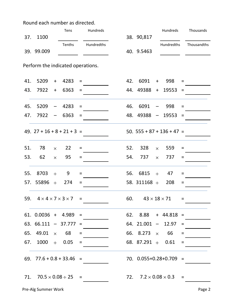Round each number as directed.

|     |                                               |                          | Tens                         |          | Hundreds   |     |                        |                          | Hundreds                         |          | Thousands   |
|-----|-----------------------------------------------|--------------------------|------------------------------|----------|------------|-----|------------------------|--------------------------|----------------------------------|----------|-------------|
| 37. | 1100                                          |                          |                              |          |            |     | 38. 90,817             |                          |                                  |          |             |
|     | 39. 99.009                                    |                          | Tenths                       |          | Hundredths |     | 40. 9.5463             |                          | Hundredths                       |          | Thousandths |
|     | Perform the indicated operations.             |                          |                              |          |            |     |                        |                          |                                  |          |             |
| 41. | 5209                                          | $+$                      | 4283                         | $\equiv$ |            |     | 42. 6091               | $+$                      | 998                              | $\equiv$ |             |
|     | 43. 7922 +                                    |                          | 6363                         | $=$      |            |     |                        |                          | 44. 49388 + 19553                | $\equiv$ |             |
| 45. | 5209                                          | $\overline{\phantom{m}}$ | 4283                         | $=$      |            | 46. | 6091                   | $\overline{\phantom{m}}$ | 998                              | $=$      |             |
| 47. | 7922                                          | $\qquad \qquad -$        | 6363                         | $=$      |            |     | $48.49388 -$           |                          | 19553                            | $=$      |             |
|     | 49. $27 + 16 + 8 + 21 + 3 =$                  |                          |                              |          |            |     |                        |                          | 50. $555 + 87 + 136 + 47 =$      |          |             |
| 51. | 78                                            | $\times$                 | 22                           | $=$      |            | 52. | 328                    | $\times$                 | 559                              | $=$      |             |
| 53. | 62                                            | $\times$                 | 95                           | $=$      |            | 54. | 737                    | $\times$                 | 737                              | $=$      |             |
| 55. | 8703 $\div$                                   |                          | 9                            | $=$      |            |     | 56. 6815               | $\rightarrow$            | 47                               | $=$      |             |
|     | 57. 55896 $\div$                              |                          | 274                          | $=$      |            |     | 58. $311168 \div$      |                          | 208                              | $\equiv$ |             |
|     | 59. $4 \times 4 \times 7 \times 3 \times 7 =$ |                          |                              |          |            | 60. |                        |                          | $43 \times 18 \times 71 =$       |          |             |
|     | $61. 0.0036 + 4.989$                          |                          |                              | $=$      |            |     |                        |                          | $62.$ $8.88 + 44.818$            | $\equiv$ |             |
|     | 63. 66.111                                    |                          | $-37.777 =$                  |          |            |     | $64. 21.001 -$         |                          | 12.97                            | $=$      |             |
|     | 65. 49.01 $\times$ 68                         |                          |                              | $=$      |            |     | 66. 8.273 $\times$     |                          | 66                               | $=$      |             |
|     | 67. $1000 \div 0.05$                          |                          |                              | $=$      |            |     | 68. 87.291 $\div$ 0.61 |                          |                                  | $=$      |             |
|     | 69. $77.6 + 0.8 + 33.46 =$                    |                          |                              |          |            |     |                        |                          | 70. $0.055+0.28+0.709$ =         |          |             |
| 71. |                                               |                          | $70.5 \times 0.08 \div 25 =$ |          |            |     |                        |                          | 72. $7.2 \times 0.08 \times 0.3$ | $=$      |             |
|     |                                               |                          |                              |          |            |     |                        |                          |                                  |          |             |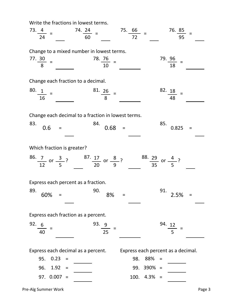Write the fractions in lowest terms.

| $73.4 =$<br>$74. \frac{24}{60}$ =<br>$75.66 =$<br>76. $85 =$<br>72<br>95<br>24                                                                                                               |  |
|----------------------------------------------------------------------------------------------------------------------------------------------------------------------------------------------|--|
| Change to a mixed number in lowest terms.<br>$\frac{78.76}{10}$ =<br>$79. \frac{96}{18}$ =<br>$\frac{77.30}{8}$ =                                                                            |  |
| Change each fraction to a decimal.                                                                                                                                                           |  |
| $80.1 =$<br>$\frac{82}{48}$ =<br>$\frac{81}{8}$ =<br>16                                                                                                                                      |  |
| Change each decimal to a fraction in lowest terms.<br>83.<br>85.<br>84.<br>0.68<br>0.6<br>0.825<br>$=$<br>$=$<br>$=$                                                                         |  |
| Which fraction is greater?                                                                                                                                                                   |  |
| $\frac{86.7}{12}$ or $\frac{3}{5}$ ? $\frac{87.17}{20}$ or $\frac{8}{9}$ ? $\frac{88.29}{35}$ or $\frac{4}{5}$ ?                                                                             |  |
| Express each percent as a fraction.<br>89.<br>90.<br>91.<br>8%<br>2.5%<br>60%<br>$\equiv$<br>$\equiv$<br>$=$                                                                                 |  |
| Express each fraction as a percent.                                                                                                                                                          |  |
| 92. 6<br>93. 9<br>94. 12<br>25<br>5<br>40                                                                                                                                                    |  |
| Express each decimal as a percent.<br>Express each percent as a decimal.<br>0.23<br>95.<br>98.<br>88%<br>$=$<br>$=$<br>96.<br>1.92<br>99. 390% =<br>$=$<br>$97. 0.007 =$<br>100. 4.3%<br>$=$ |  |

Pre-Alg Summer Work **Pre-Alg Summer Work Page 3**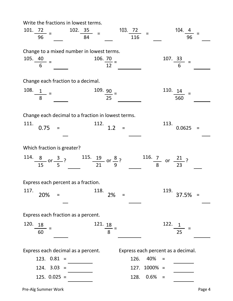Write the fractions in lowest terms.

| $101. 72 =$<br>96                                                                      | 102.35<br>84                 | 103. $72$<br>$=$<br>116            | 104.4<br>96                            |
|----------------------------------------------------------------------------------------|------------------------------|------------------------------------|----------------------------------------|
| Change to a mixed number in lowest terms.<br>105. $\frac{40}{100}$ =<br>6 <sup>1</sup> | 106. $\frac{70}{10}$ =<br>12 |                                    | 107.33                                 |
| Change each fraction to a decimal.                                                     |                              |                                    |                                        |
| 108.<br>$\frac{1}{8}$ =                                                                | $\frac{109.90}{25}$ =        |                                    | 110. 14<br>560                         |
| Change each decimal to a fraction in lowest terms.<br>111.                             | 112.                         |                                    | 113.                                   |
| 0.75<br>$=$                                                                            | 1.2                          | $=$                                | 0.0625<br>$=$                          |
| Which fraction is greater?                                                             |                              |                                    |                                        |
| 114. $\frac{8}{15}$ or $\frac{3}{5}$ ? 115. 19 or $\frac{8}{9}$ ?                      |                              |                                    | $\frac{116.7}{8}$ or $\frac{21}{23}$ ? |
| Express each percent as a fraction.                                                    |                              |                                    |                                        |
| 117.<br>20%<br>$\equiv$                                                                | 118.<br>2%                   | $=$                                | 119.<br>37.5%<br>$\equiv$              |
| Express each fraction as a percent.                                                    |                              |                                    |                                        |
| 120.<br>18<br>60                                                                       | 121. 18<br>8                 |                                    | 122.<br>$\mathbf 1$<br>25              |
| Express each decimal as a percent.                                                     |                              | Express each percent as a decimal. |                                        |
| 123. 0.81<br>$\equiv$                                                                  |                              | 126.<br>40%                        | $=$                                    |
| 124. 3.03<br>$=$                                                                       |                              | $1000\% =$<br>127.                 |                                        |
| $125. 0.025 =$                                                                         |                              | $0.6\%$<br>128.                    | $=$                                    |

Pre-Alg Summer Work **Page 4**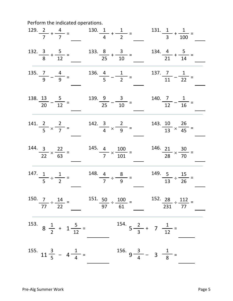Perform the indicated operations.

|                                           |                                         | 129. $\frac{2}{7} + \frac{4}{7} =$ 130. $\frac{1}{4} + \frac{1}{7} =$ 131. $\frac{1}{3} + \frac{1}{100} =$                      |                                          |                                             |  |
|-------------------------------------------|-----------------------------------------|---------------------------------------------------------------------------------------------------------------------------------|------------------------------------------|---------------------------------------------|--|
|                                           |                                         | $132. \frac{3}{8} + \frac{5}{12} = 133. \frac{8}{25} + \frac{3}{10} =$                                                          |                                          | $\frac{134.4}{21} + \frac{5}{14} =$         |  |
| 135. $\frac{7}{9} - \frac{4}{9} =$        |                                         | $\frac{136.4}{5} - \frac{1}{2} =$                                                                                               |                                          | $\frac{137.7}{11} - \frac{1}{22} =$         |  |
| $\frac{138.13}{20} - \frac{5}{12} =$      |                                         | $\frac{139.9}{25} - \frac{3}{10} =$                                                                                             |                                          | $\frac{140}{12} - \frac{1}{16} =$           |  |
| $\frac{141.2}{5} \times \frac{2}{7} =$    |                                         | $142.\frac{3}{4} \times \frac{2}{9} =$                                                                                          |                                          | 143. $\frac{10}{13} \times \frac{26}{45} =$ |  |
| $\frac{144.3}{22} \times \frac{22}{63} =$ |                                         | 145. $\frac{4}{7} \times \frac{100}{101} =$                                                                                     |                                          | $\frac{146}{28} \times \frac{30}{70} =$     |  |
| $\frac{147}{5} \div \frac{1}{2} =$        |                                         | 148. $\frac{4}{7} \div \frac{8}{9} =$                                                                                           | $\frac{149.5}{13} \div \frac{15}{26} =$  |                                             |  |
|                                           |                                         | 150. $\frac{7}{77} \div \frac{14}{22} =$ 151. $\frac{50}{97} \div \frac{100}{61} =$ 152. $\frac{28}{231} \div \frac{112}{77} =$ |                                          |                                             |  |
|                                           | 153. $8\frac{1}{2} + 1\frac{5}{12} =$   |                                                                                                                                 | 154. $5\frac{2}{3}$ + 7 $\frac{1}{12}$ = |                                             |  |
|                                           | 155. $11\frac{3}{5}$ - $4\frac{1}{4}$ = |                                                                                                                                 | 156. $9\frac{3}{4} - 3\frac{1}{8} =$     |                                             |  |